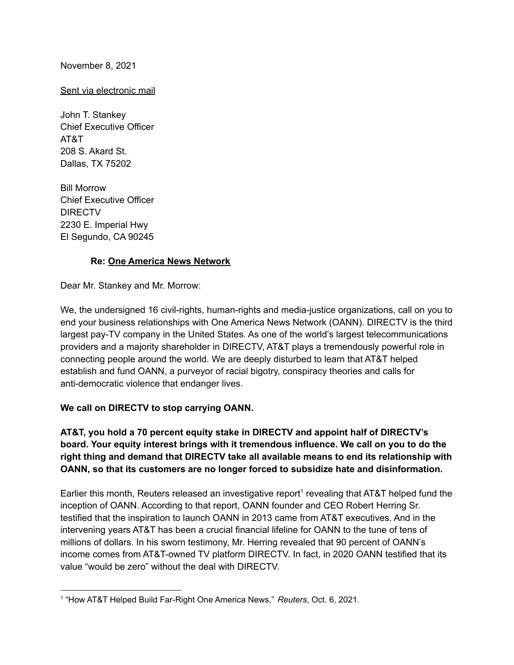## November 8, 2021

## Sent via electronic mail

John T. Stankey Chief Executive Officer AT&T 208 S. Akard St. Dallas, TX 75202

Bill Morrow Chief Executive Officer DIRECTV 2230 E. Imperial Hwy El Segundo, CA 90245

#### **Re: One America News Network**

Dear Mr. Stankey and Mr. Morrow:

We, the undersigned 16 civil-rights, human-rights and media-justice organizations, call on you to end your business relationships with One America News Network (OANN). DIRECTV is the third largest pay-TV company in the United States. As one of the world's largest telecommunications providers and a majority shareholder in DIRECTV, AT&T plays a tremendously powerful role in connecting people around the world. We are deeply disturbed to learn that AT&T helped establish and fund OANN, a purveyor of racial bigotry, conspiracy theories and calls for anti-democratic violence that endanger lives.

## **We call on DIRECTV to stop carrying OANN.**

## **AT&T, you hold a 70 percent equity stake in DIRECTV and appoint half of DIRECTV's board. Your equity interest brings with it tremendous influence. We call on you to do the right thing and demand that DIRECTV take all available means to end its relationship with OANN, so that its customers are no longer forced to subsidize hate and disinformation.**

Earlier this month, Reuters released an investigative report<sup>1</sup> revealing that AT&T helped fund the inception of OANN. According to that report, OANN founder and CEO Robert Herring Sr. testified that the inspiration to launch OANN in 2013 came from AT&T executives. And in the intervening years AT&T has been a crucial financial lifeline for OANN to the tune of tens of millions of dollars. In his sworn testimony, Mr. Herring revealed that 90 percent of OANN's income comes from AT&T-owned TV platform DIRECTV. In fact, in 2020 OANN testified that its value "would be zero" without the deal with DIRECTV.

<sup>1</sup> "How AT&T Helped Build Far-Right One America News," *Reuters*, Oct. 6, 2021.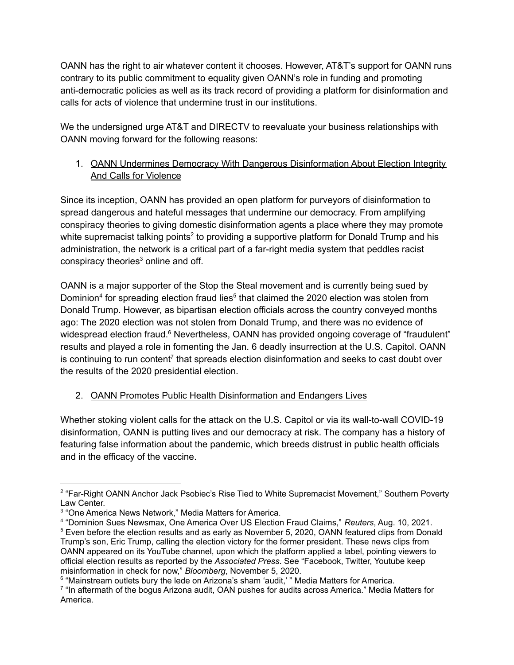OANN has the right to air whatever content it chooses. However, AT&T's support for OANN runs contrary to its public commitment to equality given OANN's role in funding and promoting anti-democratic policies as well as its track record of providing a platform for disinformation and calls for acts of violence that undermine trust in our institutions.

We the undersigned urge AT&T and DIRECTV to reevaluate your business relationships with OANN moving forward for the following reasons:

# 1. OANN Undermines Democracy With Dangerous Disinformation About Election Integrity And Calls for Violence

Since its inception, OANN has provided an open platform for purveyors of disinformation to spread dangerous and hateful messages that undermine our democracy. From amplifying conspiracy theories to giving domestic disinformation agents a place where they may promote white supremacist talking points<sup>2</sup> to providing a supportive platform for Donald Trump and his administration, the network is a critical part of a far-right media system that peddles racist conspiracy theories<sup>3</sup> online and off.

OANN is a major supporter of the Stop the Steal movement and is currently being sued by Dominion<sup>4</sup> for spreading election fraud lies<sup>5</sup> that claimed the 2020 election was stolen from Donald Trump. However, as bipartisan election officials across the country conveyed months ago: The 2020 election was not stolen from Donald Trump, and there was no evidence of widespread election fraud.<sup>6</sup> Nevertheless, OANN has provided ongoing coverage of "fraudulent" results and played a role in fomenting the Jan. 6 deadly insurrection at the U.S. Capitol. OANN is continuing to run content<sup>7</sup> that spreads election disinformation and seeks to cast doubt over the results of the 2020 presidential election.

# 2. OANN Promotes Public Health Disinformation and Endangers Lives

Whether stoking violent calls for the attack on the U.S. Capitol or via its wall-to-wall COVID-19 disinformation, OANN is putting lives and our democracy at risk. The company has a history of featuring false information about the pandemic, which breeds distrust in public health officials and in the efficacy of the vaccine.

<sup>&</sup>lt;sup>2</sup> "Far-Right OANN Anchor Jack Psobiec's Rise Tied to White Supremacist Movement," Southern Poverty Law Center.

<sup>3</sup> "One America News Network," Media Matters for America.

<sup>5</sup> Even before the election results and as early as November 5, 2020, OANN featured clips from Donald Trump's son, Eric Trump, calling the election victory for the former president. These news clips from OANN appeared on its YouTube channel, upon which the platform applied a label, pointing viewers to official [election](https://www.google.com/search?q=election+results+2020&rlz=1C1GCEB_enUS849US849&oq=election&aqs=chrome.1.69i57j0i131i433j69i59i131i433j0i131i433l3j69i60l2.6678j0j4&sourceid=chrome&ie=UTF-8) results as reported by the *Associated Press*. See "Facebook, Twitter, Youtube keep misinformation in check for now," *Bloomberg*, November 5, 2020. 4 "Dominion Sues Newsmax, One America Over US Election Fraud Claims," *Reuters*, Aug. 10, 2021.

<sup>&</sup>lt;sup>6</sup> "Mainstream outlets bury the lede on Arizona's sham 'audit,' " Media Matters for America.

<sup>&</sup>lt;sup>7</sup> "In aftermath of the bogus Arizona audit, OAN pushes for audits across America." Media Matters for America.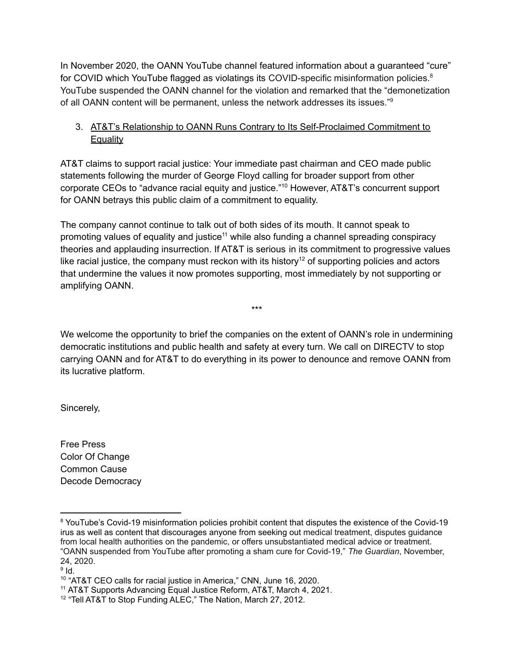In November 2020, the OANN YouTube channel featured information about a guaranteed "cure" for COVID which YouTube flagged as violatings its COVID-specific misinformation policies.<sup>8</sup> YouTube suspended the OANN channel for the violation and remarked that the "demonetization of all OANN content will be permanent, unless the network addresses its issues."<sup>9</sup>

# 3. AT&T's Relationship to OANN Runs Contrary to Its Self-Proclaimed Commitment to **Equality**

AT&T claims to support racial justice: Your immediate past chairman and CEO made public statements following the murder of George Floyd calling for broader support from other corporate CEOs to "advance racial equity and justice." <sup>10</sup> However, AT&T's concurrent support for OANN betrays this public claim of a commitment to equality.

The company cannot continue to talk out of both sides of its mouth. It cannot speak to promoting values of equality and justice<sup>11</sup> while also funding a channel spreading conspiracy theories and applauding insurrection. If AT&T is serious in its commitment to progressive values like racial justice, the company must reckon with its history<sup>12</sup> of supporting policies and actors that undermine the values it now promotes supporting, most immediately by not supporting or amplifying OANN.

We welcome the opportunity to brief the companies on the extent of OANN's role in undermining democratic institutions and public health and safety at every turn. We call on DIRECTV to stop carrying OANN and for AT&T to do everything in its power to denounce and remove OANN from its lucrative platform.

\*\*\*

Sincerely,

Free Press Color Of Change Common Cause Decode Democracy

<sup>8</sup> YouTube's Covid-19 misinformation policies prohibit content that disputes the existence of the Covid-19 irus as well as content that discourages anyone from seeking out medical treatment, disputes guidance from local health authorities on the pandemic, or offers unsubstantiated medical advice or treatment. "OANN suspended from YouTube after promoting a sham cure for Covid-19," *The Guardian*, November, 24, 2020.

 $^9$  Id.

<sup>10</sup> "AT&T CEO calls for racial justice in America," CNN, June 16, 2020.

<sup>&</sup>lt;sup>11</sup> AT&T Supports Advancing Equal Justice Reform, AT&T, March 4, 2021.

<sup>&</sup>lt;sup>12</sup> "Tell AT&T to Stop Funding ALEC," The Nation, March 27, 2012.